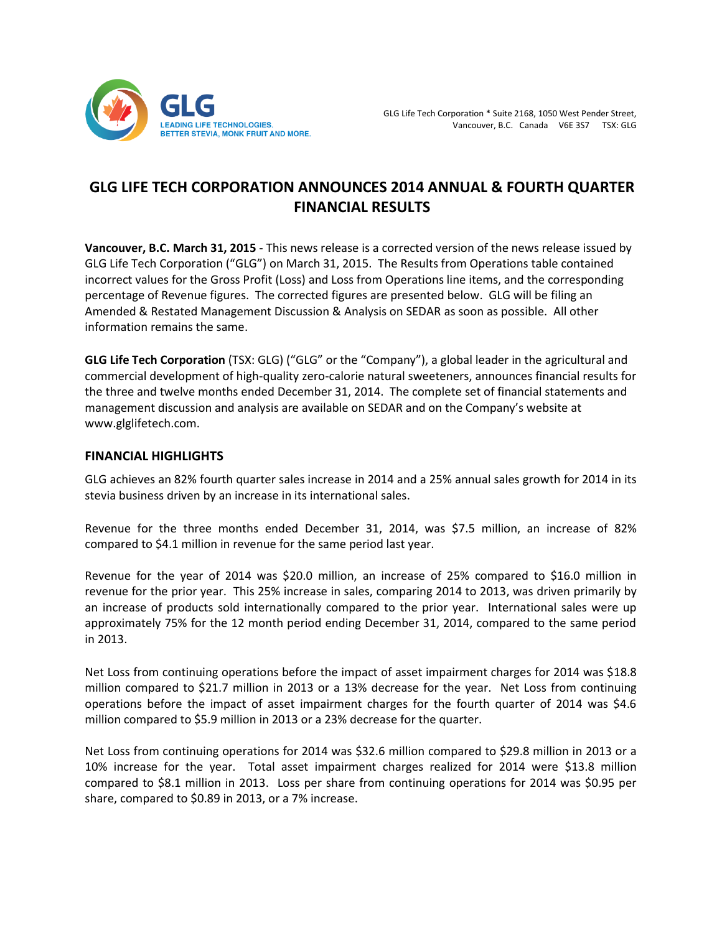

# **GLG LIFE TECH CORPORATION ANNOUNCES 2014 ANNUAL & FOURTH QUARTER FINANCIAL RESULTS**

**Vancouver, B.C. March 31, 2015** - This news release is a corrected version of the news release issued by GLG Life Tech Corporation ("GLG") on March 31, 2015. The Results from Operations table contained incorrect values for the Gross Profit (Loss) and Loss from Operations line items, and the corresponding percentage of Revenue figures. The corrected figures are presented below. GLG will be filing an Amended & Restated Management Discussion & Analysis on SEDAR as soon as possible. All other information remains the same.

**GLG Life Tech Corporation** (TSX: GLG) ("GLG" or the "Company"), a global leader in the agricultural and commercial development of high-quality zero-calorie natural sweeteners, announces financial results for the three and twelve months ended December 31, 2014. The complete set of financial statements and management discussion and analysis are available on SEDAR and on the Company's website at www.glglifetech.com.

## **FINANCIAL HIGHLIGHTS**

GLG achieves an 82% fourth quarter sales increase in 2014 and a 25% annual sales growth for 2014 in its stevia business driven by an increase in its international sales.

Revenue for the three months ended December 31, 2014, was \$7.5 million, an increase of 82% compared to \$4.1 million in revenue for the same period last year.

Revenue for the year of 2014 was \$20.0 million, an increase of 25% compared to \$16.0 million in revenue for the prior year. This 25% increase in sales, comparing 2014 to 2013, was driven primarily by an increase of products sold internationally compared to the prior year. International sales were up approximately 75% for the 12 month period ending December 31, 2014, compared to the same period in 2013.

Net Loss from continuing operations before the impact of asset impairment charges for 2014 was \$18.8 million compared to \$21.7 million in 2013 or a 13% decrease for the year. Net Loss from continuing operations before the impact of asset impairment charges for the fourth quarter of 2014 was \$4.6 million compared to \$5.9 million in 2013 or a 23% decrease for the quarter.

Net Loss from continuing operations for 2014 was \$32.6 million compared to \$29.8 million in 2013 or a 10% increase for the year. Total asset impairment charges realized for 2014 were \$13.8 million compared to \$8.1 million in 2013. Loss per share from continuing operations for 2014 was \$0.95 per share, compared to \$0.89 in 2013, or a 7% increase.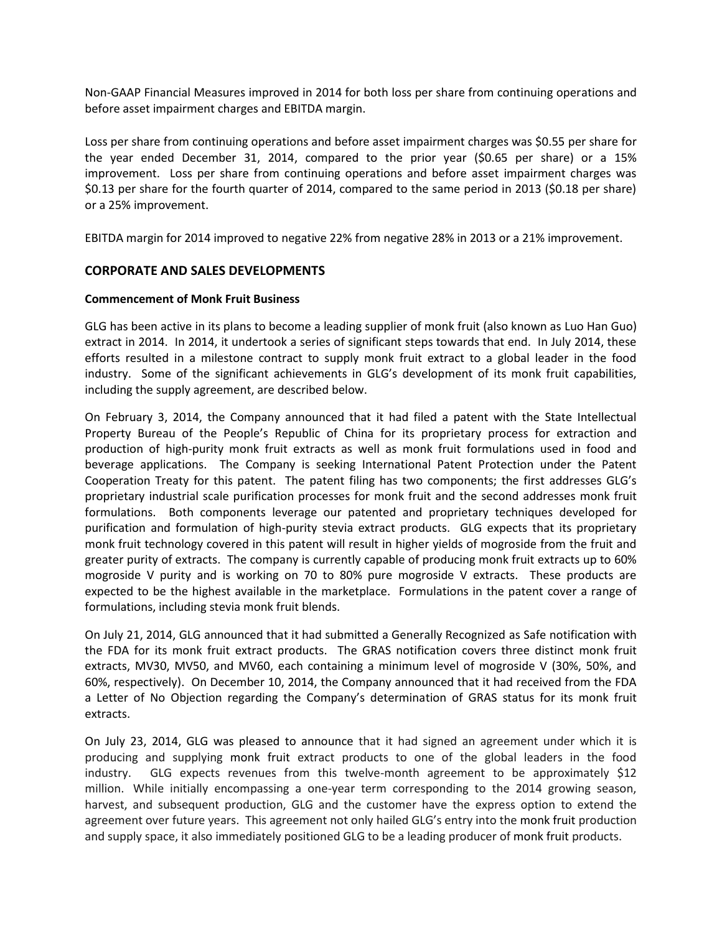Non-GAAP Financial Measures improved in 2014 for both loss per share from continuing operations and before asset impairment charges and EBITDA margin.

Loss per share from continuing operations and before asset impairment charges was \$0.55 per share for the year ended December 31, 2014, compared to the prior year (\$0.65 per share) or a 15% improvement. Loss per share from continuing operations and before asset impairment charges was \$0.13 per share for the fourth quarter of 2014, compared to the same period in 2013 (\$0.18 per share) or a 25% improvement.

EBITDA margin for 2014 improved to negative 22% from negative 28% in 2013 or a 21% improvement.

## **CORPORATE AND SALES DEVELOPMENTS**

#### **Commencement of Monk Fruit Business**

GLG has been active in its plans to become a leading supplier of monk fruit (also known as Luo Han Guo) extract in 2014. In 2014, it undertook a series of significant steps towards that end. In July 2014, these efforts resulted in a milestone contract to supply monk fruit extract to a global leader in the food industry. Some of the significant achievements in GLG's development of its monk fruit capabilities, including the supply agreement, are described below.

On February 3, 2014, the Company announced that it had filed a patent with the State Intellectual Property Bureau of the People's Republic of China for its proprietary process for extraction and production of high-purity monk fruit extracts as well as monk fruit formulations used in food and beverage applications. The Company is seeking International Patent Protection under the Patent Cooperation Treaty for this patent. The patent filing has two components; the first addresses GLG's proprietary industrial scale purification processes for monk fruit and the second addresses monk fruit formulations. Both components leverage our patented and proprietary techniques developed for purification and formulation of high-purity stevia extract products. GLG expects that its proprietary monk fruit technology covered in this patent will result in higher yields of mogroside from the fruit and greater purity of extracts. The company is currently capable of producing monk fruit extracts up to 60% mogroside V purity and is working on 70 to 80% pure mogroside V extracts. These products are expected to be the highest available in the marketplace. Formulations in the patent cover a range of formulations, including stevia monk fruit blends.

On July 21, 2014, GLG announced that it had submitted a Generally Recognized as Safe notification with the FDA for its monk fruit extract products. The GRAS notification covers three distinct monk fruit extracts, MV30, MV50, and MV60, each containing a minimum level of mogroside V (30%, 50%, and 60%, respectively). On December 10, 2014, the Company announced that it had received from the FDA a Letter of No Objection regarding the Company's determination of GRAS status for its monk fruit extracts.

On July 23, 2014, GLG was pleased to announce that it had signed an agreement under which it is producing and supplying monk fruit extract products to one of the global leaders in the food industry. GLG expects revenues from this twelve-month agreement to be approximately \$12 million. While initially encompassing a one-year term corresponding to the 2014 growing season, harvest, and subsequent production, GLG and the customer have the express option to extend the agreement over future years. This agreement not only hailed GLG's entry into the monk fruit production and supply space, it also immediately positioned GLG to be a leading producer of monk fruit products.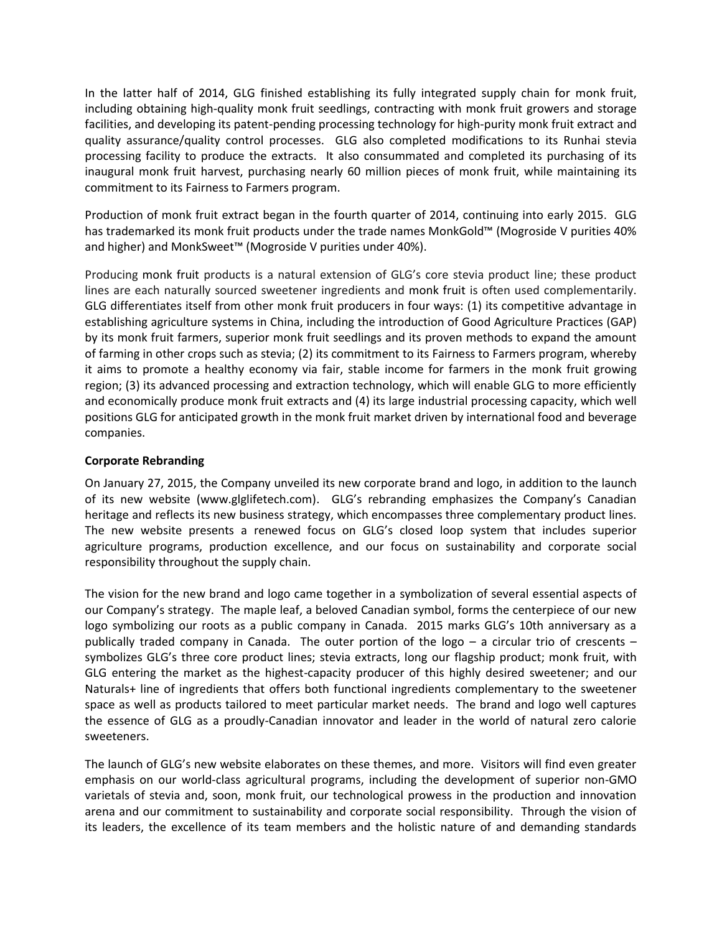In the latter half of 2014, GLG finished establishing its fully integrated supply chain for monk fruit, including obtaining high-quality monk fruit seedlings, contracting with monk fruit growers and storage facilities, and developing its patent-pending processing technology for high-purity monk fruit extract and quality assurance/quality control processes. GLG also completed modifications to its Runhai stevia processing facility to produce the extracts. It also consummated and completed its purchasing of its inaugural monk fruit harvest, purchasing nearly 60 million pieces of monk fruit, while maintaining its commitment to its Fairness to Farmers program.

Production of monk fruit extract began in the fourth quarter of 2014, continuing into early 2015. GLG has trademarked its monk fruit products under the trade names MonkGold™ (Mogroside V purities 40% and higher) and MonkSweet™ (Mogroside V purities under 40%).

Producing monk fruit products is a natural extension of GLG's core stevia product line; these product lines are each naturally sourced sweetener ingredients and monk fruit is often used complementarily. GLG differentiates itself from other monk fruit producers in four ways: (1) its competitive advantage in establishing agriculture systems in China, including the introduction of Good Agriculture Practices (GAP) by its monk fruit farmers, superior monk fruit seedlings and its proven methods to expand the amount of farming in other crops such as stevia; (2) its commitment to its Fairness to Farmers program, whereby it aims to promote a healthy economy via fair, stable income for farmers in the monk fruit growing region; (3) its advanced processing and extraction technology, which will enable GLG to more efficiently and economically produce monk fruit extracts and (4) its large industrial processing capacity, which well positions GLG for anticipated growth in the monk fruit market driven by international food and beverage companies.

### **Corporate Rebranding**

On January 27, 2015, the Company unveiled its new corporate brand and logo, in addition to the launch of its new website (www.glglifetech.com). GLG's rebranding emphasizes the Company's Canadian heritage and reflects its new business strategy, which encompasses three complementary product lines. The new website presents a renewed focus on GLG's closed loop system that includes superior agriculture programs, production excellence, and our focus on sustainability and corporate social responsibility throughout the supply chain.

The vision for the new brand and logo came together in a symbolization of several essential aspects of our Company's strategy. The maple leaf, a beloved Canadian symbol, forms the centerpiece of our new logo symbolizing our roots as a public company in Canada. 2015 marks GLG's 10th anniversary as a publically traded company in Canada. The outer portion of the logo – a circular trio of crescents – symbolizes GLG's three core product lines; stevia extracts, long our flagship product; monk fruit, with GLG entering the market as the highest-capacity producer of this highly desired sweetener; and our Naturals+ line of ingredients that offers both functional ingredients complementary to the sweetener space as well as products tailored to meet particular market needs. The brand and logo well captures the essence of GLG as a proudly-Canadian innovator and leader in the world of natural zero calorie sweeteners.

The launch of GLG's new website elaborates on these themes, and more. Visitors will find even greater emphasis on our world-class agricultural programs, including the development of superior non-GMO varietals of stevia and, soon, monk fruit, our technological prowess in the production and innovation arena and our commitment to sustainability and corporate social responsibility. Through the vision of its leaders, the excellence of its team members and the holistic nature of and demanding standards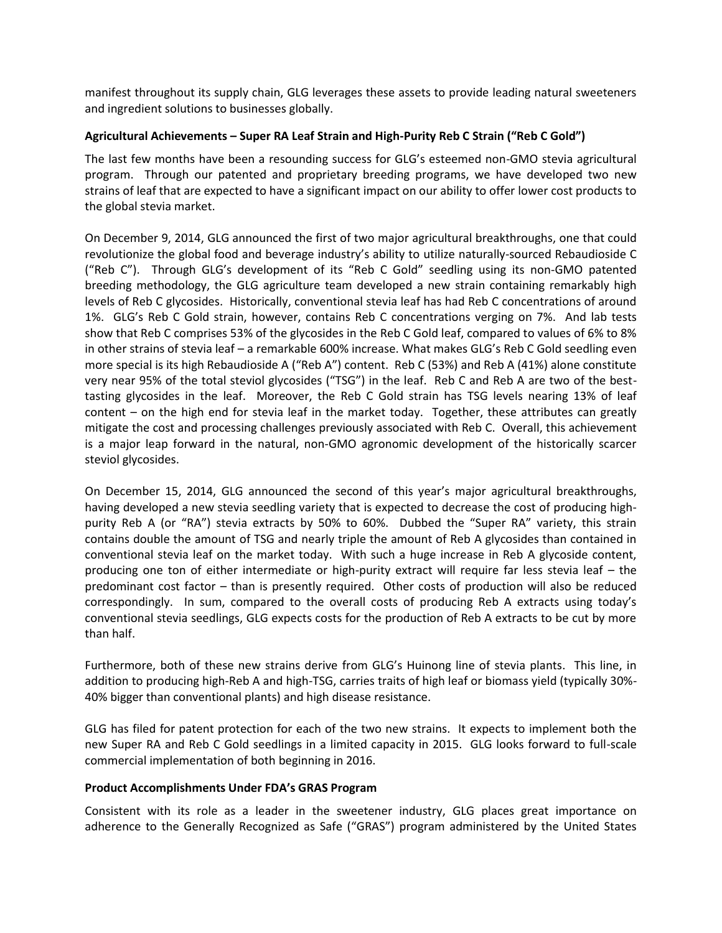manifest throughout its supply chain, GLG leverages these assets to provide leading natural sweeteners and ingredient solutions to businesses globally.

## **Agricultural Achievements – Super RA Leaf Strain and High-Purity Reb C Strain ("Reb C Gold")**

The last few months have been a resounding success for GLG's esteemed non-GMO stevia agricultural program. Through our patented and proprietary breeding programs, we have developed two new strains of leaf that are expected to have a significant impact on our ability to offer lower cost products to the global stevia market.

On December 9, 2014, GLG announced the first of two major agricultural breakthroughs, one that could revolutionize the global food and beverage industry's ability to utilize naturally-sourced Rebaudioside C ("Reb C"). Through GLG's development of its "Reb C Gold" seedling using its non-GMO patented breeding methodology, the GLG agriculture team developed a new strain containing remarkably high levels of Reb C glycosides. Historically, conventional stevia leaf has had Reb C concentrations of around 1%. GLG's Reb C Gold strain, however, contains Reb C concentrations verging on 7%. And lab tests show that Reb C comprises 53% of the glycosides in the Reb C Gold leaf, compared to values of 6% to 8% in other strains of stevia leaf – a remarkable 600% increase. What makes GLG's Reb C Gold seedling even more special is its high Rebaudioside A ("Reb A") content. Reb C (53%) and Reb A (41%) alone constitute very near 95% of the total steviol glycosides ("TSG") in the leaf. Reb C and Reb A are two of the besttasting glycosides in the leaf. Moreover, the Reb C Gold strain has TSG levels nearing 13% of leaf content – on the high end for stevia leaf in the market today. Together, these attributes can greatly mitigate the cost and processing challenges previously associated with Reb C. Overall, this achievement is a major leap forward in the natural, non-GMO agronomic development of the historically scarcer steviol glycosides.

On December 15, 2014, GLG announced the second of this year's major agricultural breakthroughs, having developed a new stevia seedling variety that is expected to decrease the cost of producing highpurity Reb A (or "RA") stevia extracts by 50% to 60%. Dubbed the "Super RA" variety, this strain contains double the amount of TSG and nearly triple the amount of Reb A glycosides than contained in conventional stevia leaf on the market today. With such a huge increase in Reb A glycoside content, producing one ton of either intermediate or high-purity extract will require far less stevia leaf – the predominant cost factor – than is presently required. Other costs of production will also be reduced correspondingly. In sum, compared to the overall costs of producing Reb A extracts using today's conventional stevia seedlings, GLG expects costs for the production of Reb A extracts to be cut by more than half.

Furthermore, both of these new strains derive from GLG's Huinong line of stevia plants. This line, in addition to producing high-Reb A and high-TSG, carries traits of high leaf or biomass yield (typically 30%- 40% bigger than conventional plants) and high disease resistance.

GLG has filed for patent protection for each of the two new strains. It expects to implement both the new Super RA and Reb C Gold seedlings in a limited capacity in 2015. GLG looks forward to full-scale commercial implementation of both beginning in 2016.

## **Product Accomplishments Under FDA's GRAS Program**

Consistent with its role as a leader in the sweetener industry, GLG places great importance on adherence to the Generally Recognized as Safe ("GRAS") program administered by the United States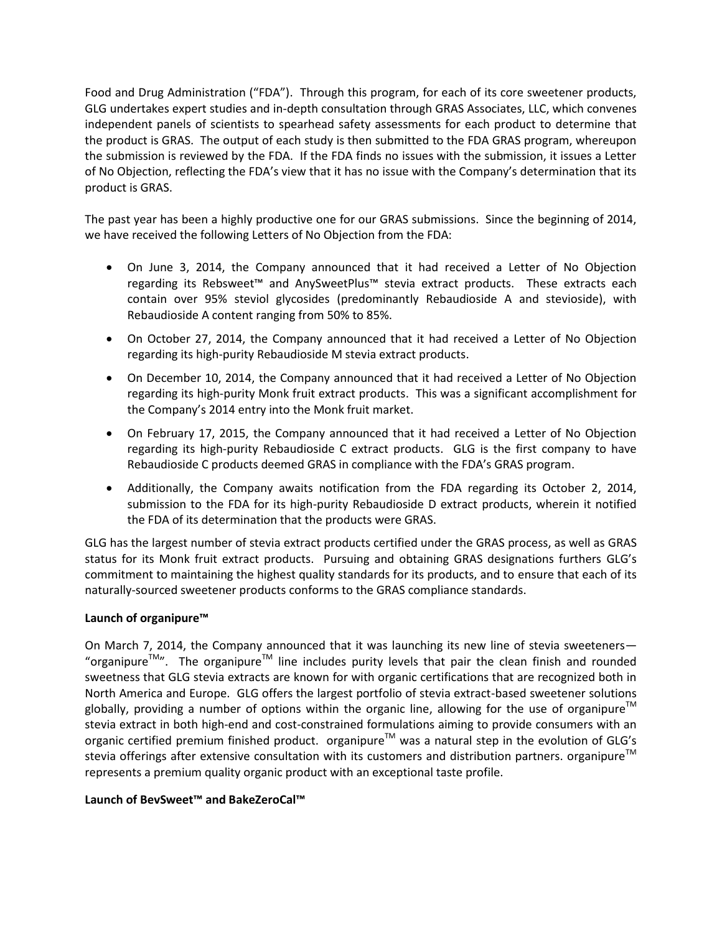Food and Drug Administration ("FDA"). Through this program, for each of its core sweetener products, GLG undertakes expert studies and in-depth consultation through GRAS Associates, LLC, which convenes independent panels of scientists to spearhead safety assessments for each product to determine that the product is GRAS. The output of each study is then submitted to the FDA GRAS program, whereupon the submission is reviewed by the FDA. If the FDA finds no issues with the submission, it issues a Letter of No Objection, reflecting the FDA's view that it has no issue with the Company's determination that its product is GRAS.

The past year has been a highly productive one for our GRAS submissions. Since the beginning of 2014, we have received the following Letters of No Objection from the FDA:

- On June 3, 2014, the Company announced that it had received a Letter of No Objection regarding its Rebsweet™ and AnySweetPlus™ stevia extract products. These extracts each contain over 95% steviol glycosides (predominantly Rebaudioside A and stevioside), with Rebaudioside A content ranging from 50% to 85%.
- On October 27, 2014, the Company announced that it had received a Letter of No Objection regarding its high-purity Rebaudioside M stevia extract products.
- On December 10, 2014, the Company announced that it had received a Letter of No Objection regarding its high-purity Monk fruit extract products. This was a significant accomplishment for the Company's 2014 entry into the Monk fruit market.
- On February 17, 2015, the Company announced that it had received a Letter of No Objection regarding its high-purity Rebaudioside C extract products. GLG is the first company to have Rebaudioside C products deemed GRAS in compliance with the FDA's GRAS program.
- Additionally, the Company awaits notification from the FDA regarding its October 2, 2014, submission to the FDA for its high-purity Rebaudioside D extract products, wherein it notified the FDA of its determination that the products were GRAS.

GLG has the largest number of stevia extract products certified under the GRAS process, as well as GRAS status for its Monk fruit extract products. Pursuing and obtaining GRAS designations furthers GLG's commitment to maintaining the highest quality standards for its products, and to ensure that each of its naturally-sourced sweetener products conforms to the GRAS compliance standards.

## **Launch of organipure™**

On March 7, 2014, the Company announced that it was launching its new line of stevia sweeteners-"organipure<sup>TM</sup>". The organipure<sup>TM</sup> line includes purity levels that pair the clean finish and rounded sweetness that GLG stevia extracts are known for with organic certifications that are recognized both in North America and Europe. GLG offers the largest portfolio of stevia extract-based sweetener solutions globally, providing a number of options within the organic line, allowing for the use of organipure<sup>™</sup> stevia extract in both high-end and cost-constrained formulations aiming to provide consumers with an organic certified premium finished product. organipure<sup>™</sup> was a natural step in the evolution of GLG's stevia offerings after extensive consultation with its customers and distribution partners. organipure<sup>1M</sup> represents a premium quality organic product with an exceptional taste profile.

## **Launch of BevSweet™ and BakeZeroCal™**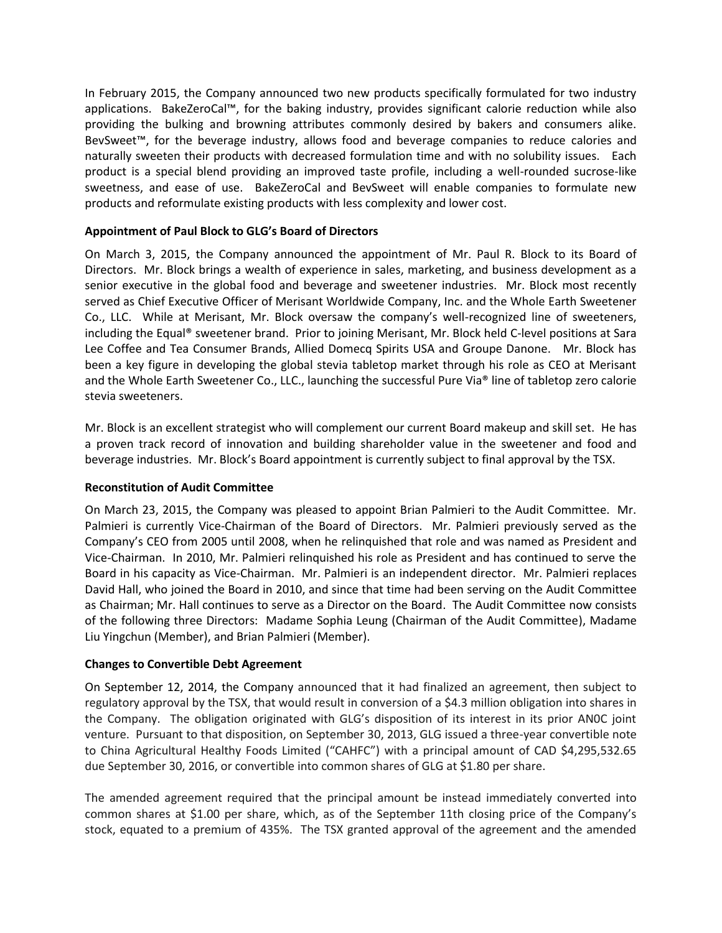In February 2015, the Company announced two new products specifically formulated for two industry applications. BakeZeroCal™, for the baking industry, provides significant calorie reduction while also providing the bulking and browning attributes commonly desired by bakers and consumers alike. BevSweet™, for the beverage industry, allows food and beverage companies to reduce calories and naturally sweeten their products with decreased formulation time and with no solubility issues. Each product is a special blend providing an improved taste profile, including a well-rounded sucrose-like sweetness, and ease of use. BakeZeroCal and BevSweet will enable companies to formulate new products and reformulate existing products with less complexity and lower cost.

## **Appointment of Paul Block to GLG's Board of Directors**

On March 3, 2015, the Company announced the appointment of Mr. Paul R. Block to its Board of Directors. Mr. Block brings a wealth of experience in sales, marketing, and business development as a senior executive in the global food and beverage and sweetener industries. Mr. Block most recently served as Chief Executive Officer of Merisant Worldwide Company, Inc. and the Whole Earth Sweetener Co., LLC. While at Merisant, Mr. Block oversaw the company's well-recognized line of sweeteners, including the Equal® sweetener brand. Prior to joining Merisant, Mr. Block held C-level positions at Sara Lee Coffee and Tea Consumer Brands, Allied Domecq Spirits USA and Groupe Danone. Mr. Block has been a key figure in developing the global stevia tabletop market through his role as CEO at Merisant and the Whole Earth Sweetener Co., LLC., launching the successful Pure Via® line of tabletop zero calorie stevia sweeteners.

Mr. Block is an excellent strategist who will complement our current Board makeup and skill set. He has a proven track record of innovation and building shareholder value in the sweetener and food and beverage industries. Mr. Block's Board appointment is currently subject to final approval by the TSX.

## **Reconstitution of Audit Committee**

On March 23, 2015, the Company was pleased to appoint Brian Palmieri to the Audit Committee. Mr. Palmieri is currently Vice-Chairman of the Board of Directors. Mr. Palmieri previously served as the Company's CEO from 2005 until 2008, when he relinquished that role and was named as President and Vice-Chairman. In 2010, Mr. Palmieri relinquished his role as President and has continued to serve the Board in his capacity as Vice-Chairman. Mr. Palmieri is an independent director. Mr. Palmieri replaces David Hall, who joined the Board in 2010, and since that time had been serving on the Audit Committee as Chairman; Mr. Hall continues to serve as a Director on the Board. The Audit Committee now consists of the following three Directors: Madame Sophia Leung (Chairman of the Audit Committee), Madame Liu Yingchun (Member), and Brian Palmieri (Member).

## **Changes to Convertible Debt Agreement**

On September 12, 2014, the Company announced that it had finalized an agreement, then subject to regulatory approval by the TSX, that would result in conversion of a \$4.3 million obligation into shares in the Company. The obligation originated with GLG's disposition of its interest in its prior AN0C joint venture. Pursuant to that disposition, on September 30, 2013, GLG issued a three-year convertible note to China Agricultural Healthy Foods Limited ("CAHFC") with a principal amount of CAD \$4,295,532.65 due September 30, 2016, or convertible into common shares of GLG at \$1.80 per share.

The amended agreement required that the principal amount be instead immediately converted into common shares at \$1.00 per share, which, as of the September 11th closing price of the Company's stock, equated to a premium of 435%. The TSX granted approval of the agreement and the amended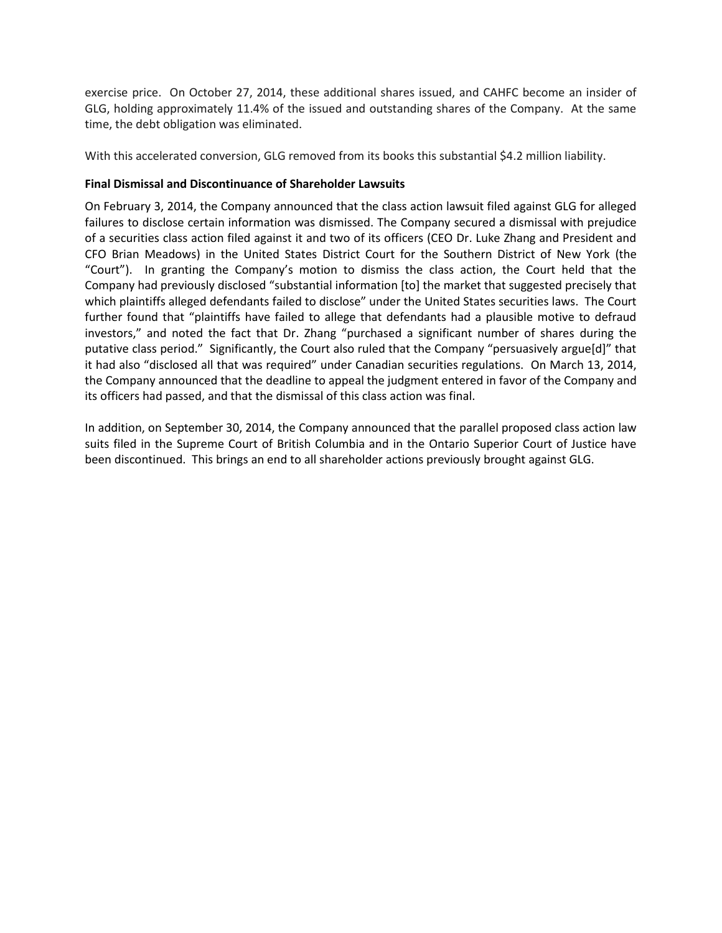exercise price. On October 27, 2014, these additional shares issued, and CAHFC become an insider of GLG, holding approximately 11.4% of the issued and outstanding shares of the Company. At the same time, the debt obligation was eliminated.

With this accelerated conversion, GLG removed from its books this substantial \$4.2 million liability.

## **Final Dismissal and Discontinuance of Shareholder Lawsuits**

On February 3, 2014, the Company announced that the class action lawsuit filed against GLG for alleged failures to disclose certain information was dismissed. The Company secured a dismissal with prejudice of a securities class action filed against it and two of its officers (CEO Dr. Luke Zhang and President and CFO Brian Meadows) in the United States District Court for the Southern District of New York (the "Court"). In granting the Company's motion to dismiss the class action, the Court held that the Company had previously disclosed "substantial information [to] the market that suggested precisely that which plaintiffs alleged defendants failed to disclose" under the United States securities laws. The Court further found that "plaintiffs have failed to allege that defendants had a plausible motive to defraud investors," and noted the fact that Dr. Zhang "purchased a significant number of shares during the putative class period." Significantly, the Court also ruled that the Company "persuasively argue[d]" that it had also "disclosed all that was required" under Canadian securities regulations. On March 13, 2014, the Company announced that the deadline to appeal the judgment entered in favor of the Company and its officers had passed, and that the dismissal of this class action was final.

In addition, on September 30, 2014, the Company announced that the parallel proposed class action law suits filed in the Supreme Court of British Columbia and in the Ontario Superior Court of Justice have been discontinued. This brings an end to all shareholder actions previously brought against GLG.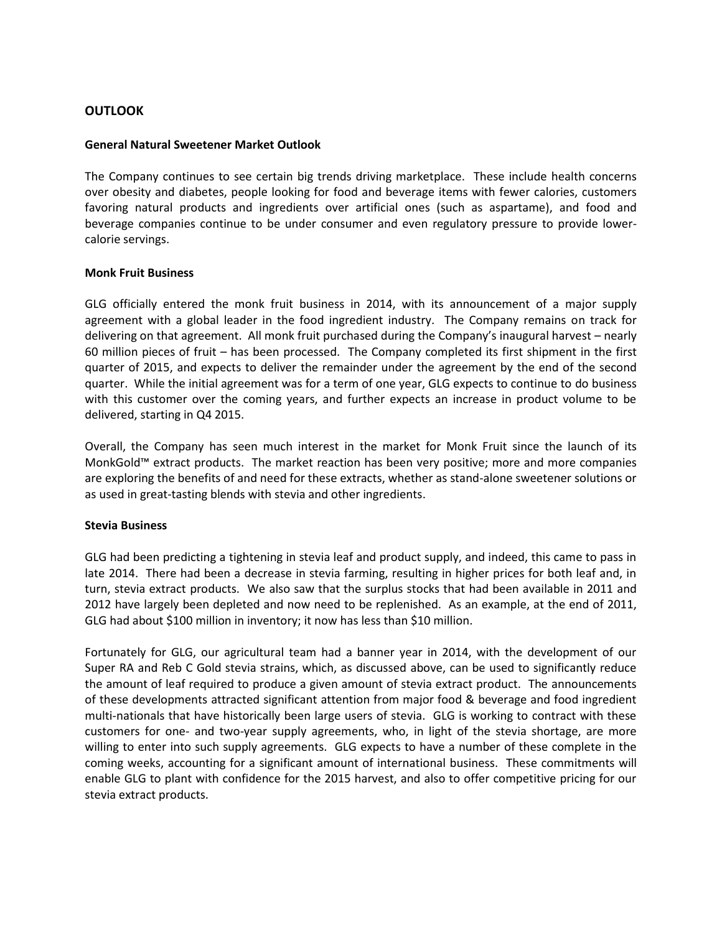## **OUTLOOK**

#### **General Natural Sweetener Market Outlook**

The Company continues to see certain big trends driving marketplace. These include health concerns over obesity and diabetes, people looking for food and beverage items with fewer calories, customers favoring natural products and ingredients over artificial ones (such as aspartame), and food and beverage companies continue to be under consumer and even regulatory pressure to provide lowercalorie servings.

#### **Monk Fruit Business**

GLG officially entered the monk fruit business in 2014, with its announcement of a major supply agreement with a global leader in the food ingredient industry. The Company remains on track for delivering on that agreement. All monk fruit purchased during the Company's inaugural harvest – nearly 60 million pieces of fruit – has been processed. The Company completed its first shipment in the first quarter of 2015, and expects to deliver the remainder under the agreement by the end of the second quarter. While the initial agreement was for a term of one year, GLG expects to continue to do business with this customer over the coming years, and further expects an increase in product volume to be delivered, starting in Q4 2015.

Overall, the Company has seen much interest in the market for Monk Fruit since the launch of its MonkGold™ extract products. The market reaction has been very positive; more and more companies are exploring the benefits of and need for these extracts, whether as stand-alone sweetener solutions or as used in great-tasting blends with stevia and other ingredients.

#### **Stevia Business**

GLG had been predicting a tightening in stevia leaf and product supply, and indeed, this came to pass in late 2014. There had been a decrease in stevia farming, resulting in higher prices for both leaf and, in turn, stevia extract products. We also saw that the surplus stocks that had been available in 2011 and 2012 have largely been depleted and now need to be replenished. As an example, at the end of 2011, GLG had about \$100 million in inventory; it now has less than \$10 million.

Fortunately for GLG, our agricultural team had a banner year in 2014, with the development of our Super RA and Reb C Gold stevia strains, which, as discussed above, can be used to significantly reduce the amount of leaf required to produce a given amount of stevia extract product. The announcements of these developments attracted significant attention from major food & beverage and food ingredient multi-nationals that have historically been large users of stevia. GLG is working to contract with these customers for one- and two-year supply agreements, who, in light of the stevia shortage, are more willing to enter into such supply agreements. GLG expects to have a number of these complete in the coming weeks, accounting for a significant amount of international business. These commitments will enable GLG to plant with confidence for the 2015 harvest, and also to offer competitive pricing for our stevia extract products.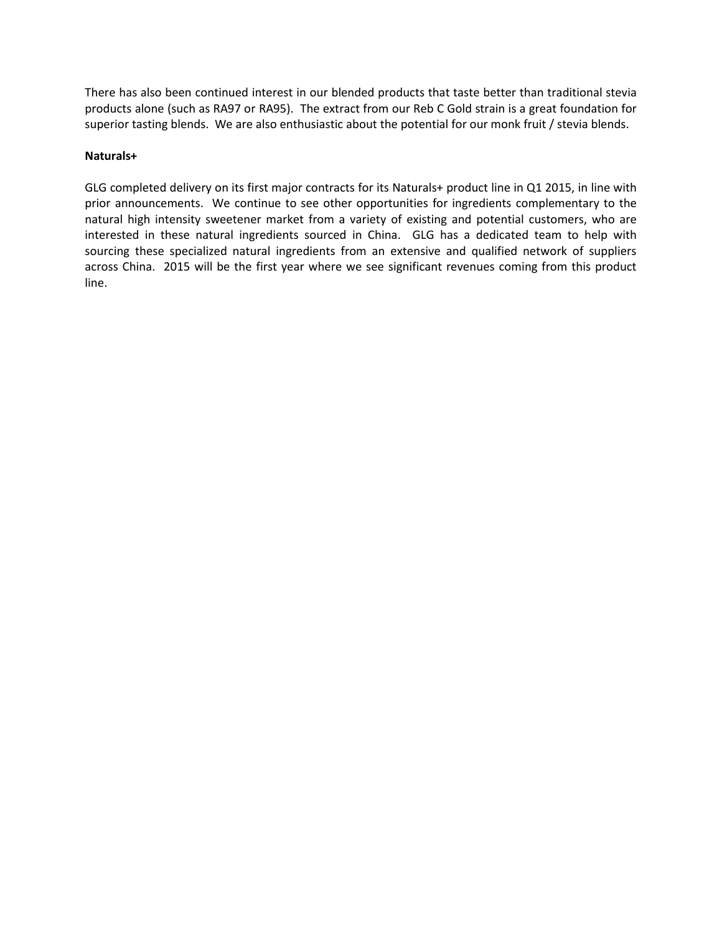There has also been continued interest in our blended products that taste better than traditional stevia products alone (such as RA97 or RA95). The extract from our Reb C Gold strain is a great foundation for superior tasting blends. We are also enthusiastic about the potential for our monk fruit / stevia blends.

## **Naturals+**

GLG completed delivery on its first major contracts for its Naturals+ product line in Q1 2015, in line with prior announcements. We continue to see other opportunities for ingredients complementary to the natural high intensity sweetener market from a variety of existing and potential customers, who are interested in these natural ingredients sourced in China. GLG has a dedicated team to help with sourcing these specialized natural ingredients from an extensive and qualified network of suppliers across China. 2015 will be the first year where we see significant revenues coming from this product line.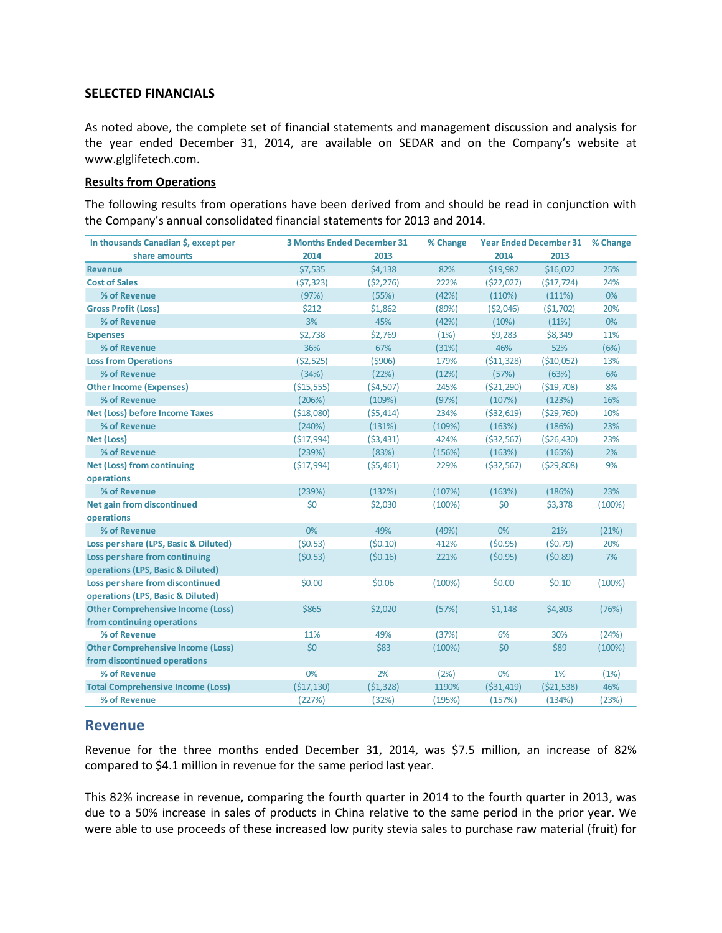## **SELECTED FINANCIALS**

As noted above, the complete set of financial statements and management discussion and analysis for the year ended December 31, 2014, are available on SEDAR and on the Company's website at www.glglifetech.com.

## **Results from Operations**

The following results from operations have been derived from and should be read in conjunction with the Company's annual consolidated financial statements for 2013 and 2014.

| In thousands Canadian \$, except per     |             | <b>3 Months Ended December 31</b> |        | <b>Year Ended December 31</b> |              | % Change |
|------------------------------------------|-------------|-----------------------------------|--------|-------------------------------|--------------|----------|
| share amounts                            | 2014        | 2013                              |        | 2014                          | 2013         |          |
| <b>Revenue</b>                           | \$7,535     | \$4,138                           | 82%    | \$19,982                      | \$16,022     | 25%      |
| <b>Cost of Sales</b>                     | (57, 323)   | (52, 276)                         | 222%   | (522, 027)                    | (517, 724)   | 24%      |
| % of Revenue                             | (97%)       | (55%)                             | (42%)  | (110%)                        | (111%)       | 0%       |
| <b>Gross Profit (Loss)</b>               | \$212       | \$1,862                           | (89%)  | (52,046)                      | (51,702)     | 20%      |
| % of Revenue                             | 3%          | 45%                               | (42%)  | (10%)                         | (11%)        | 0%       |
| <b>Expenses</b>                          | \$2,738     | \$2,769                           | (1%)   | \$9,283                       | \$8,349      | 11%      |
| % of Revenue                             | 36%         | 67%                               | (31%)  | 46%                           | 52%          | (6%)     |
| <b>Loss from Operations</b>              | ( \$2,525)  | (5906)                            | 179%   | ( \$11, 328)                  | ( \$10,052)  | 13%      |
| % of Revenue                             | (34%)       | (22%)                             | (12%)  | (57%)                         | (63%)        | 6%       |
| <b>Other Income (Expenses)</b>           | ( \$15,555) | (54, 507)                         | 245%   | (521, 290)                    | ( \$19,708)  | 8%       |
| % of Revenue                             | (206%)      | (109%)                            | (97%)  | (107%)                        | (123%)       | 16%      |
| <b>Net (Loss) before Income Taxes</b>    | ( \$18,080) | (55, 414)                         | 234%   | ( \$32, 619)                  | (529, 760)   | 10%      |
| % of Revenue                             | (240%)      | (131%)                            | (109%) | (163%)                        | (186%)       | 23%      |
| <b>Net (Loss)</b>                        | (517, 994)  | (53, 431)                         | 424%   | ( \$32, 567)                  | ( \$26,430)  | 23%      |
| % of Revenue                             | (239%)      | (83%)                             | (156%) | (163%)                        | (165%)       | 2%       |
| <b>Net (Loss) from continuing</b>        | (517, 994)  | (55, 461)                         | 229%   | $($ \$32,567)                 | (529,808)    | 9%       |
| operations                               |             |                                   |        |                               |              |          |
| % of Revenue                             | (239%)      | (132%)                            | (107%) | (163%)                        | (186%)       | 23%      |
| <b>Net gain from discontinued</b>        | \$0         | \$2,030                           | (100%) | \$0                           | \$3,378      | (100%)   |
| operations                               |             |                                   |        |                               |              |          |
| % of Revenue                             | 0%          | 49%                               | (49%)  | 0%                            | 21%          | (21%)    |
| Loss per share (LPS, Basic & Diluted)    | (50.53)     | (50.10)                           | 412%   | (50.95)                       | (50.79)      | 20%      |
| Loss per share from continuing           | (50.53)     | (50.16)                           | 221%   | (50.95)                       | (50.89)      | 7%       |
| operations (LPS, Basic & Diluted)        |             |                                   |        |                               |              |          |
| Loss per share from discontinued         | \$0.00      | \$0.06                            | (100%) | \$0.00                        | \$0.10       | (100%)   |
| operations (LPS, Basic & Diluted)        |             |                                   |        |                               |              |          |
| <b>Other Comprehensive Income (Loss)</b> | \$865       | \$2,020                           | (57%)  | \$1,148                       | \$4,803      | (76%)    |
| from continuing operations               |             |                                   |        |                               |              |          |
| % of Revenue                             | 11%         | 49%                               | (37%)  | 6%                            | 30%          | (24%)    |
| <b>Other Comprehensive Income (Loss)</b> | \$0         | \$83                              | (100%) | \$0                           | \$89         | (100%)   |
| from discontinued operations             |             |                                   |        |                               |              |          |
| % of Revenue                             | 0%          | 2%                                | (2%)   | 0%                            | 1%           | (1%)     |
| <b>Total Comprehensive Income (Loss)</b> | (\$17,130)  | (51, 328)                         | 1190%  | ( \$31,419)                   | ( \$21, 538) | 46%      |
| % of Revenue                             | (227%)      | (32%)                             | (195%) | (157%)                        | (134%)       | (23%)    |

## **Revenue**

Revenue for the three months ended December 31, 2014, was \$7.5 million, an increase of 82% compared to \$4.1 million in revenue for the same period last year.

This 82% increase in revenue, comparing the fourth quarter in 2014 to the fourth quarter in 2013, was due to a 50% increase in sales of products in China relative to the same period in the prior year. We were able to use proceeds of these increased low purity stevia sales to purchase raw material (fruit) for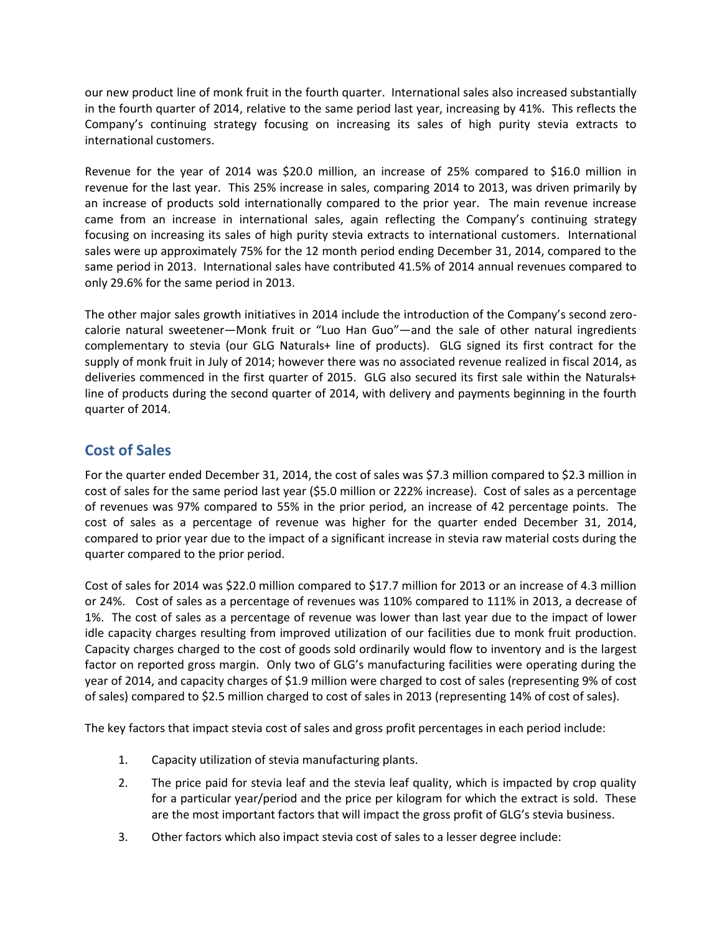our new product line of monk fruit in the fourth quarter. International sales also increased substantially in the fourth quarter of 2014, relative to the same period last year, increasing by 41%. This reflects the Company's continuing strategy focusing on increasing its sales of high purity stevia extracts to international customers.

Revenue for the year of 2014 was \$20.0 million, an increase of 25% compared to \$16.0 million in revenue for the last year. This 25% increase in sales, comparing 2014 to 2013, was driven primarily by an increase of products sold internationally compared to the prior year. The main revenue increase came from an increase in international sales, again reflecting the Company's continuing strategy focusing on increasing its sales of high purity stevia extracts to international customers. International sales were up approximately 75% for the 12 month period ending December 31, 2014, compared to the same period in 2013. International sales have contributed 41.5% of 2014 annual revenues compared to only 29.6% for the same period in 2013.

The other major sales growth initiatives in 2014 include the introduction of the Company's second zerocalorie natural sweetener—Monk fruit or "Luo Han Guo"—and the sale of other natural ingredients complementary to stevia (our GLG Naturals+ line of products). GLG signed its first contract for the supply of monk fruit in July of 2014; however there was no associated revenue realized in fiscal 2014, as deliveries commenced in the first quarter of 2015. GLG also secured its first sale within the Naturals+ line of products during the second quarter of 2014, with delivery and payments beginning in the fourth quarter of 2014.

## **Cost of Sales**

For the quarter ended December 31, 2014, the cost of sales was \$7.3 million compared to \$2.3 million in cost of sales for the same period last year (\$5.0 million or 222% increase). Cost of sales as a percentage of revenues was 97% compared to 55% in the prior period, an increase of 42 percentage points. The cost of sales as a percentage of revenue was higher for the quarter ended December 31, 2014, compared to prior year due to the impact of a significant increase in stevia raw material costs during the quarter compared to the prior period.

Cost of sales for 2014 was \$22.0 million compared to \$17.7 million for 2013 or an increase of 4.3 million or 24%. Cost of sales as a percentage of revenues was 110% compared to 111% in 2013, a decrease of 1%. The cost of sales as a percentage of revenue was lower than last year due to the impact of lower idle capacity charges resulting from improved utilization of our facilities due to monk fruit production. Capacity charges charged to the cost of goods sold ordinarily would flow to inventory and is the largest factor on reported gross margin. Only two of GLG's manufacturing facilities were operating during the year of 2014, and capacity charges of \$1.9 million were charged to cost of sales (representing 9% of cost of sales) compared to \$2.5 million charged to cost of sales in 2013 (representing 14% of cost of sales).

The key factors that impact stevia cost of sales and gross profit percentages in each period include:

- 1. Capacity utilization of stevia manufacturing plants.
- 2. The price paid for stevia leaf and the stevia leaf quality, which is impacted by crop quality for a particular year/period and the price per kilogram for which the extract is sold. These are the most important factors that will impact the gross profit of GLG's stevia business.
- 3. Other factors which also impact stevia cost of sales to a lesser degree include: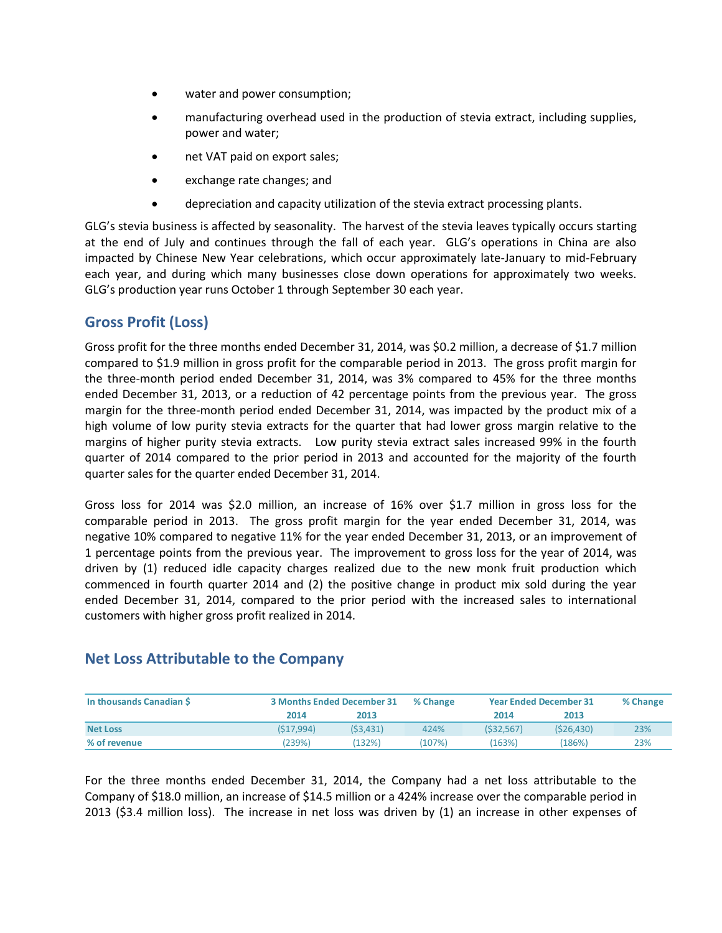- water and power consumption;
- manufacturing overhead used in the production of stevia extract, including supplies, power and water;
- net VAT paid on export sales;
- exchange rate changes; and
- depreciation and capacity utilization of the stevia extract processing plants.

GLG's stevia business is affected by seasonality. The harvest of the stevia leaves typically occurs starting at the end of July and continues through the fall of each year. GLG's operations in China are also impacted by Chinese New Year celebrations, which occur approximately late-January to mid-February each year, and during which many businesses close down operations for approximately two weeks. GLG's production year runs October 1 through September 30 each year.

## **Gross Profit (Loss)**

Gross profit for the three months ended December 31, 2014, was \$0.2 million, a decrease of \$1.7 million compared to \$1.9 million in gross profit for the comparable period in 2013. The gross profit margin for the three-month period ended December 31, 2014, was 3% compared to 45% for the three months ended December 31, 2013, or a reduction of 42 percentage points from the previous year. The gross margin for the three-month period ended December 31, 2014, was impacted by the product mix of a high volume of low purity stevia extracts for the quarter that had lower gross margin relative to the margins of higher purity stevia extracts. Low purity stevia extract sales increased 99% in the fourth quarter of 2014 compared to the prior period in 2013 and accounted for the majority of the fourth quarter sales for the quarter ended December 31, 2014.

Gross loss for 2014 was \$2.0 million, an increase of 16% over \$1.7 million in gross loss for the comparable period in 2013. The gross profit margin for the year ended December 31, 2014, was negative 10% compared to negative 11% for the year ended December 31, 2013, or an improvement of 1 percentage points from the previous year. The improvement to gross loss for the year of 2014, was driven by (1) reduced idle capacity charges realized due to the new monk fruit production which commenced in fourth quarter 2014 and (2) the positive change in product mix sold during the year ended December 31, 2014, compared to the prior period with the increased sales to international customers with higher gross profit realized in 2014.

## **Net Loss Attributable to the Company**

| In thousands Canadian S |           | <b>3 Months Ended December 31</b> |        | <b>Year Ended December 31</b> |            | % Change |
|-------------------------|-----------|-----------------------------------|--------|-------------------------------|------------|----------|
|                         | 2014      | 2013                              |        | 2014                          | 2013       |          |
| <b>Net Loss</b>         | (S17.994) | (53, 431)                         | 424%   | (S32.567)                     | (S26, 430) | 23%      |
| % of revenue            | (239%)    | 132%)                             | (107%) | (163%)                        | (186%)     | 23%      |

For the three months ended December 31, 2014, the Company had a net loss attributable to the Company of \$18.0 million, an increase of \$14.5 million or a 424% increase over the comparable period in 2013 (\$3.4 million loss). The increase in net loss was driven by (1) an increase in other expenses of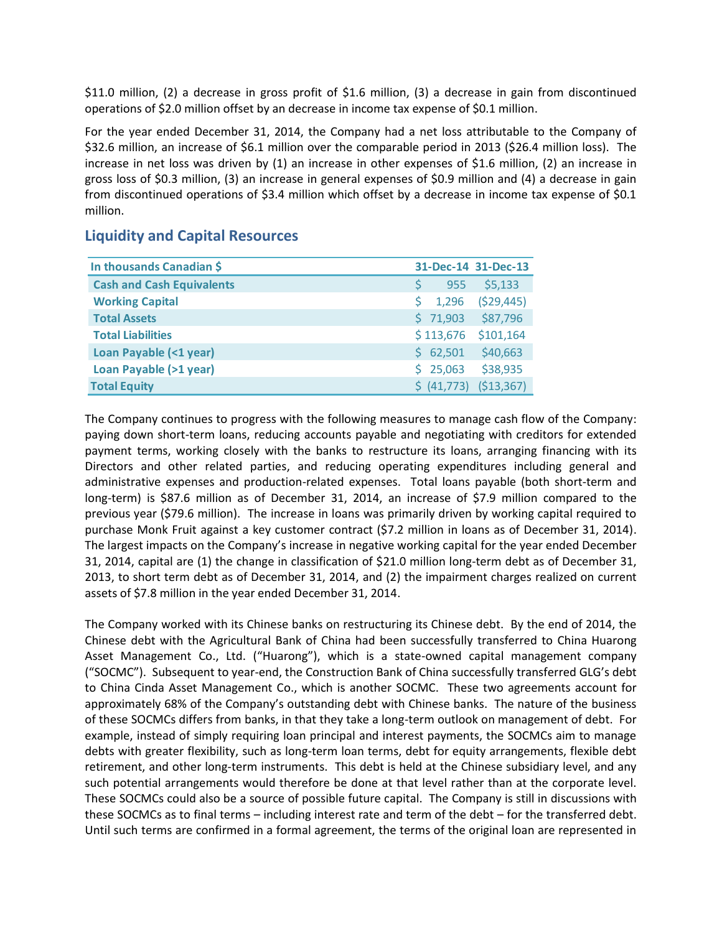\$11.0 million, (2) a decrease in gross profit of \$1.6 million, (3) a decrease in gain from discontinued operations of \$2.0 million offset by an decrease in income tax expense of \$0.1 million.

For the year ended December 31, 2014, the Company had a net loss attributable to the Company of \$32.6 million, an increase of \$6.1 million over the comparable period in 2013 (\$26.4 million loss). The increase in net loss was driven by (1) an increase in other expenses of \$1.6 million, (2) an increase in gross loss of \$0.3 million, (3) an increase in general expenses of \$0.9 million and (4) a decrease in gain from discontinued operations of \$3.4 million which offset by a decrease in income tax expense of \$0.1 million.

| In thousands Canadian \$         |             | 31-Dec-14 31-Dec-13 |
|----------------------------------|-------------|---------------------|
| <b>Cash and Cash Equivalents</b> | 955         | \$5,133             |
| <b>Working Capital</b>           | 1,296       | (529, 445)          |
| <b>Total Assets</b>              | \$71,903    | \$87,796            |
| <b>Total Liabilities</b>         | \$113,676   | \$101,164           |
| Loan Payable (<1 year)           | \$62,501    | \$40,663            |
| Loan Payable (>1 year)           | \$25,063    | \$38,935            |
| <b>Total Equity</b>              | \$ (41,773) | (\$13,367)          |

## **Liquidity and Capital Resources**

The Company continues to progress with the following measures to manage cash flow of the Company: paying down short-term loans, reducing accounts payable and negotiating with creditors for extended payment terms, working closely with the banks to restructure its loans, arranging financing with its Directors and other related parties, and reducing operating expenditures including general and administrative expenses and production-related expenses. Total loans payable (both short-term and long-term) is \$87.6 million as of December 31, 2014, an increase of \$7.9 million compared to the previous year (\$79.6 million). The increase in loans was primarily driven by working capital required to purchase Monk Fruit against a key customer contract (\$7.2 million in loans as of December 31, 2014). The largest impacts on the Company's increase in negative working capital for the year ended December 31, 2014, capital are (1) the change in classification of \$21.0 million long-term debt as of December 31, 2013, to short term debt as of December 31, 2014, and (2) the impairment charges realized on current assets of \$7.8 million in the year ended December 31, 2014.

The Company worked with its Chinese banks on restructuring its Chinese debt. By the end of 2014, the Chinese debt with the Agricultural Bank of China had been successfully transferred to China Huarong Asset Management Co., Ltd. ("Huarong"), which is a state-owned capital management company ("SOCMC"). Subsequent to year-end, the Construction Bank of China successfully transferred GLG's debt to China Cinda Asset Management Co., which is another SOCMC. These two agreements account for approximately 68% of the Company's outstanding debt with Chinese banks. The nature of the business of these SOCMCs differs from banks, in that they take a long-term outlook on management of debt. For example, instead of simply requiring loan principal and interest payments, the SOCMCs aim to manage debts with greater flexibility, such as long-term loan terms, debt for equity arrangements, flexible debt retirement, and other long-term instruments. This debt is held at the Chinese subsidiary level, and any such potential arrangements would therefore be done at that level rather than at the corporate level. These SOCMCs could also be a source of possible future capital. The Company is still in discussions with these SOCMCs as to final terms – including interest rate and term of the debt – for the transferred debt. Until such terms are confirmed in a formal agreement, the terms of the original loan are represented in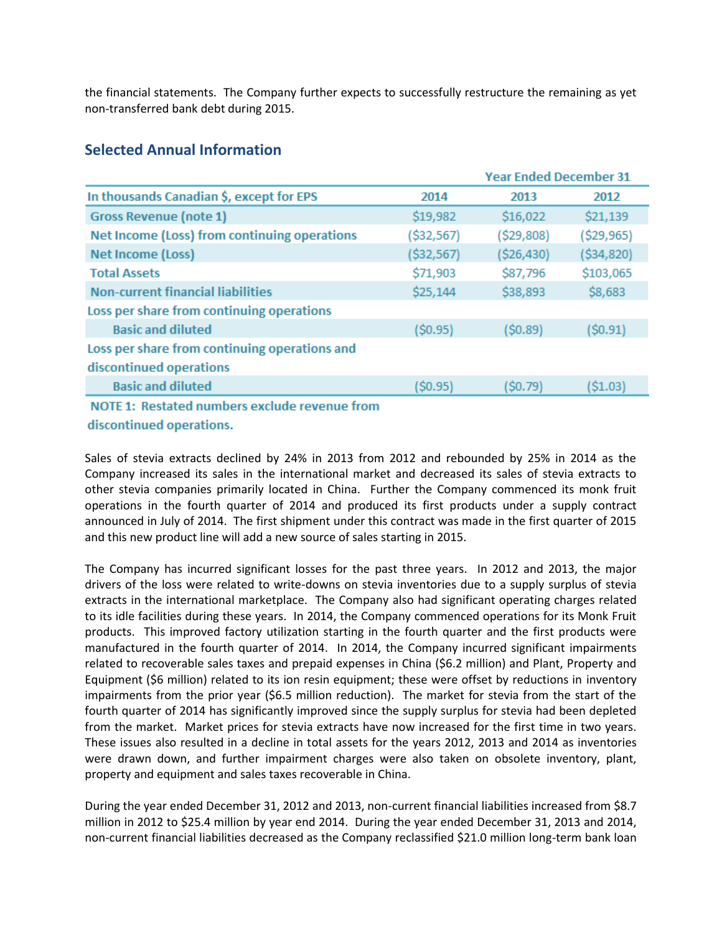the financial statements. The Company further expects to successfully restructure the remaining as yet non-transferred bank debt during 2015.

|                                               |            | <b>Year Ended December 31</b> |              |  |
|-----------------------------------------------|------------|-------------------------------|--------------|--|
| In thousands Canadian \$, except for EPS      | 2014       | 2013                          | 2012         |  |
| <b>Gross Revenue (note 1)</b>                 | \$19,982   | \$16,022                      | \$21,139     |  |
| Net Income (Loss) from continuing operations  | (\$32,567) | (\$29,808)                    | (\$29,965)   |  |
| Net Income (Loss)                             | (\$32,567) | (\$26,430)                    | ( \$34, 820) |  |
| <b>Total Assets</b>                           | \$71,903   | \$87,796                      | \$103,065    |  |
| <b>Non-current financial liabilities</b>      | \$25,144   | \$38,893                      | \$8,683      |  |
| Loss per share from continuing operations     |            |                               |              |  |
| <b>Basic and diluted</b>                      | (\$0.95)   | (\$0.89)                      | (\$0.91)     |  |
| Loss per share from continuing operations and |            |                               |              |  |
| discontinued operations                       |            |                               |              |  |
| <b>Basic and diluted</b>                      | (50.95)    | (\$0.79)                      | ( \$1.03)    |  |
| NOTE 1: Restated numbers exclude revenue from |            |                               |              |  |

## **Selected Annual Information**

TE 1: Restated numbers exclude revenue from discontinued operations.

Sales of stevia extracts declined by 24% in 2013 from 2012 and rebounded by 25% in 2014 as the Company increased its sales in the international market and decreased its sales of stevia extracts to other stevia companies primarily located in China. Further the Company commenced its monk fruit operations in the fourth quarter of 2014 and produced its first products under a supply contract announced in July of 2014. The first shipment under this contract was made in the first quarter of 2015 and this new product line will add a new source of sales starting in 2015.

The Company has incurred significant losses for the past three years. In 2012 and 2013, the major drivers of the loss were related to write-downs on stevia inventories due to a supply surplus of stevia extracts in the international marketplace. The Company also had significant operating charges related to its idle facilities during these years. In 2014, the Company commenced operations for its Monk Fruit products. This improved factory utilization starting in the fourth quarter and the first products were manufactured in the fourth quarter of 2014. In 2014, the Company incurred significant impairments related to recoverable sales taxes and prepaid expenses in China (\$6.2 million) and Plant, Property and Equipment (\$6 million) related to its ion resin equipment; these were offset by reductions in inventory impairments from the prior year (\$6.5 million reduction). The market for stevia from the start of the fourth quarter of 2014 has significantly improved since the supply surplus for stevia had been depleted from the market. Market prices for stevia extracts have now increased for the first time in two years. These issues also resulted in a decline in total assets for the years 2012, 2013 and 2014 as inventories were drawn down, and further impairment charges were also taken on obsolete inventory, plant, property and equipment and sales taxes recoverable in China.

During the year ended December 31, 2012 and 2013, non-current financial liabilities increased from \$8.7 million in 2012 to \$25.4 million by year end 2014. During the year ended December 31, 2013 and 2014, non-current financial liabilities decreased as the Company reclassified \$21.0 million long-term bank loan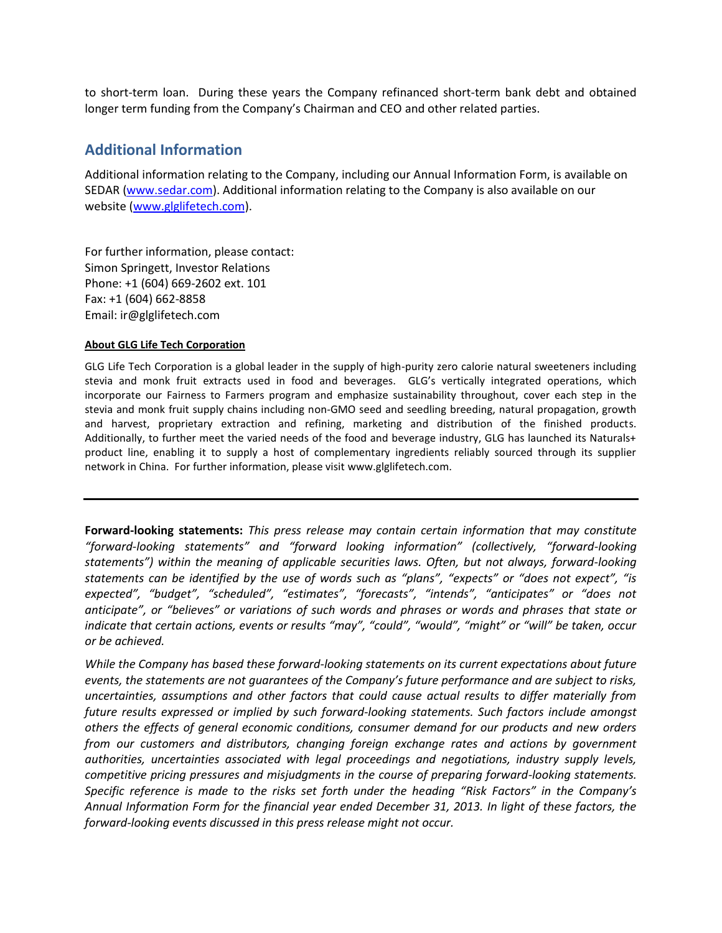to short-term loan. During these years the Company refinanced short-term bank debt and obtained longer term funding from the Company's Chairman and CEO and other related parties.

## **Additional Information**

Additional information relating to the Company, including our Annual Information Form, is available on SEDAR (www.sedar.com). Additional information relating to the Company is also available on our website (www.glglifetech.com).

For further information, please contact: Simon Springett, Investor Relations Phone: +1 (604) 669-2602 ext. 101 Fax: +1 (604) 662-8858 Email: ir@glglifetech.com

#### **About GLG Life Tech Corporation**

GLG Life Tech Corporation is a global leader in the supply of high-purity zero calorie natural sweeteners including stevia and monk fruit extracts used in food and beverages. GLG's vertically integrated operations, which incorporate our Fairness to Farmers program and emphasize sustainability throughout, cover each step in the stevia and monk fruit supply chains including non-GMO seed and seedling breeding, natural propagation, growth and harvest, proprietary extraction and refining, marketing and distribution of the finished products. Additionally, to further meet the varied needs of the food and beverage industry, GLG has launched its Naturals+ product line, enabling it to supply a host of complementary ingredients reliably sourced through its supplier network in China. For further information, please visit www.glglifetech.com.

**Forward-looking statements:** *This press release may contain certain information that may constitute "forward-looking statements" and "forward looking information" (collectively, "forward-looking statements") within the meaning of applicable securities laws. Often, but not always, forward-looking statements can be identified by the use of words such as "plans", "expects" or "does not expect", "is expected", "budget", "scheduled", "estimates", "forecasts", "intends", "anticipates" or "does not anticipate", or "believes" or variations of such words and phrases or words and phrases that state or indicate that certain actions, events or results "may", "could", "would", "might" or "will" be taken, occur or be achieved.* 

*While the Company has based these forward-looking statements on its current expectations about future events, the statements are not guarantees of the Company's future performance and are subject to risks, uncertainties, assumptions and other factors that could cause actual results to differ materially from future results expressed or implied by such forward-looking statements. Such factors include amongst others the effects of general economic conditions, consumer demand for our products and new orders from our customers and distributors, changing foreign exchange rates and actions by government authorities, uncertainties associated with legal proceedings and negotiations, industry supply levels, competitive pricing pressures and misjudgments in the course of preparing forward-looking statements. Specific reference is made to the risks set forth under the heading "Risk Factors" in the Company's Annual Information Form for the financial year ended December 31, 2013. In light of these factors, the forward-looking events discussed in this press release might not occur.*